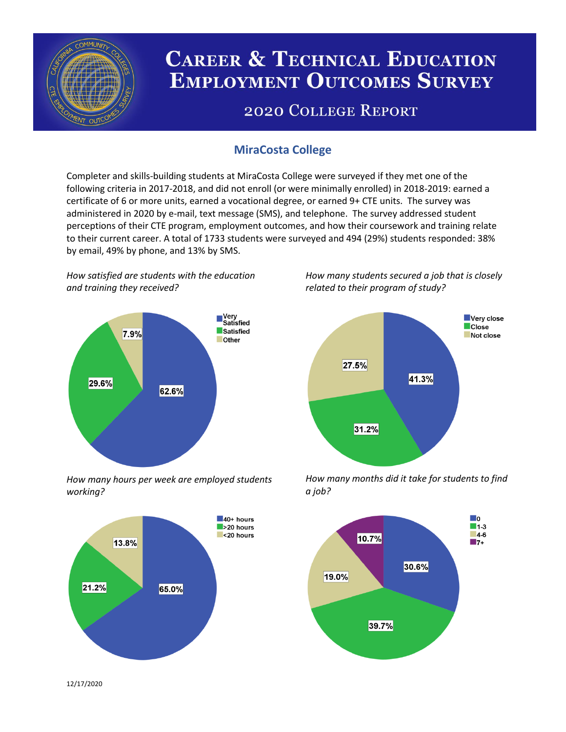

# **CAREER & TECHNICAL EDUCATION EMPLOYMENT OUTCOMES SURVEY**

## **2020 COLLEGE REPORT**

### **MiraCosta College**

Completer and skills-building students at MiraCosta College were surveyed if they met one of the following criteria in 2017-2018, and did not enroll (or were minimally enrolled) in 2018-2019: earned a certificate of 6 or more units, earned a vocational degree, or earned 9+ CTE units. The survey was administered in 2020 by e-mail, text message (SMS), and telephone. The survey addressed student perceptions of their CTE program, employment outcomes, and how their coursework and training relate to their current career. A total of 1733 students were surveyed and 494 (29%) students responded: 38% by email, 49% by phone, and 13% by SMS.

*How satisfied are students with the education and training they received?*



*How many hours per week are employed students working?*



*How many students secured a job that is closely related to their program of study?*



*How many months did it take for students to find a job?*



12/17/2020